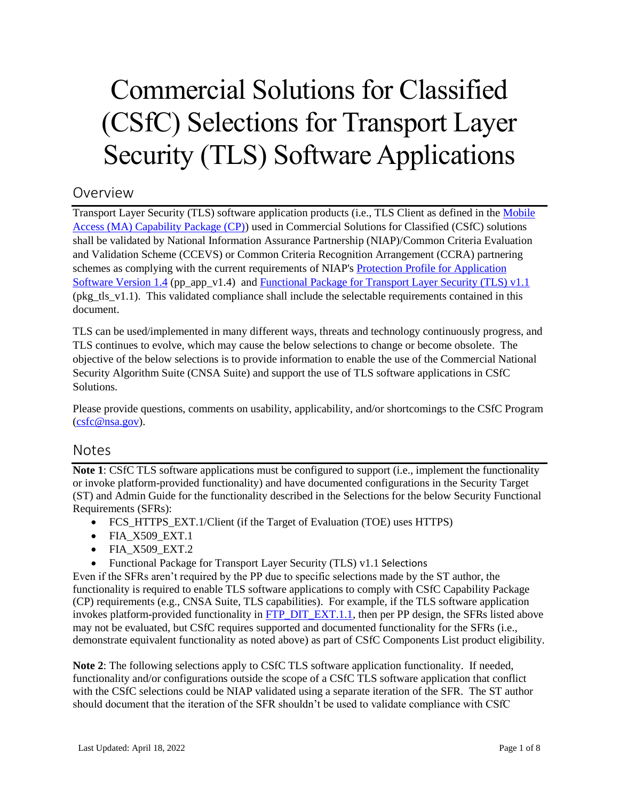# Commercial Solutions for Classified (CSfC) Selections for Transport Layer Security (TLS) Software Applications

# Overview

Transport Layer Security (TLS) software application products (i.e., TLS Client as defined in the [Mobile](https://www.nsa.gov/Resources/Commercial-Solutions-for-Classified-Program/Capability-Packages/#mobile-access)  [Access \(MA\) Capability Package \(CP\)\)](https://www.nsa.gov/Resources/Commercial-Solutions-for-Classified-Program/Capability-Packages/#mobile-access) used in Commercial Solutions for Classified (CSfC) solutions shall be validated by National Information Assurance Partnership (NIAP)/Common Criteria Evaluation and Validation Scheme (CCEVS) or Common Criteria Recognition Arrangement (CCRA) partnering schemes as complying with the current requirements of NIAP's [Protection Profile for Application](https://www.niap-ccevs.org/MMO/PP/462/)  [Software Version 1.4](https://www.niap-ccevs.org/MMO/PP/462/) (pp\_app\_v1.4) and [Functional Package for Transport Layer Security \(TLS\) v1.1](https://www.niap-ccevs.org/MMO/PP/-439-/) (pkg tls  $v1.1$ ). This validated compliance shall include the selectable requirements contained in this document.

TLS can be used/implemented in many different ways, threats and technology continuously progress, and TLS continues to evolve, which may cause the below selections to change or become obsolete. The objective of the below selections is to provide information to enable the use of the Commercial National Security Algorithm Suite (CNSA Suite) and support the use of TLS software applications in CSfC Solutions.

Please provide questions, comments on usability, applicability, and/or shortcomings to the CSfC Program [\(csfc@nsa.gov\)](mailto:csfc@nsa.gov).

# Notes

**Note 1**: CSfC TLS software applications must be configured to support (i.e., implement the functionality or invoke platform-provided functionality) and have documented configurations in the Security Target (ST) and Admin Guide for the functionality described in the Selections for the below Security Functional Requirements (SFRs):

- FCS\_HTTPS\_EXT.1/Client (if the Target of Evaluation (TOE) uses HTTPS)
- FIA X509 EXT.1
- FIA X509 EXT.2
- [Functional Package for Transport Layer Security \(TLS\)](#page-6-0) v1.1 Selections

Even if the SFRs aren't required by the PP due to specific selections made by the ST author, the functionality is required to enable TLS software applications to comply with CSfC Capability Package (CP) requirements (e.g., CNSA Suite, TLS capabilities). For example, if the TLS software application invokes platform-provided functionality in  $\overline{FTP}$  DIT  $\overline{EXT}.1.1$ , then per PP design, the SFRs listed above may not be evaluated, but CSfC requires supported and documented functionality for the SFRs (i.e., demonstrate equivalent functionality as noted above) as part of CSfC Components List product eligibility.

**Note 2**: The following selections apply to CSfC TLS software application functionality. If needed, functionality and/or configurations outside the scope of a CSfC TLS software application that conflict with the CSfC selections could be NIAP validated using a separate iteration of the SFR. The ST author should document that the iteration of the SFR shouldn't be used to validate compliance with CSfC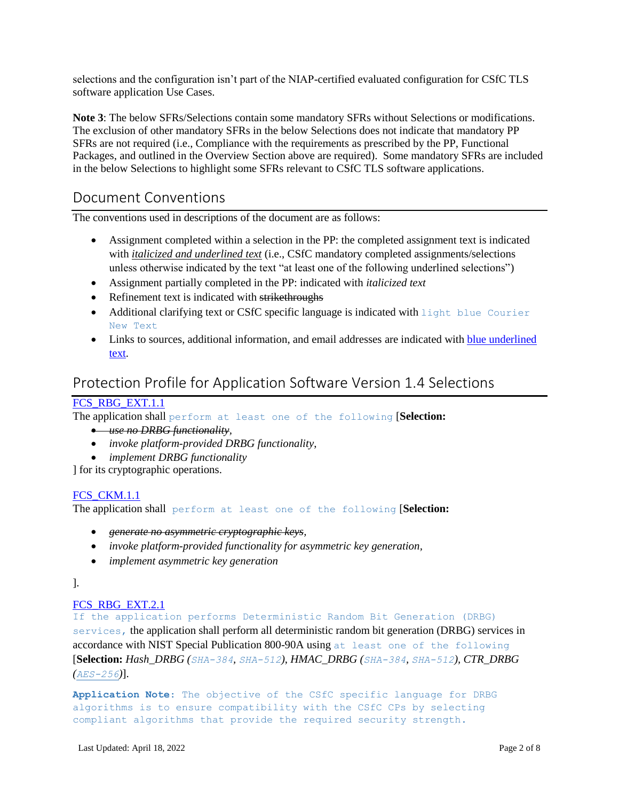selections and the configuration isn't part of the NIAP-certified evaluated configuration for CSfC TLS software application Use Cases.

**Note 3**: The below SFRs/Selections contain some mandatory SFRs without Selections or modifications. The exclusion of other mandatory SFRs in the below Selections does not indicate that mandatory PP SFRs are not required (i.e., Compliance with the requirements as prescribed by the PP, Functional Packages, and outlined in the Overview Section above are required). Some mandatory SFRs are included in the below Selections to highlight some SFRs relevant to CSfC TLS software applications.

# Document Conventions

The conventions used in descriptions of the document are as follows:

- Assignment completed within a selection in the PP: the completed assignment text is indicated with *italicized and underlined text* (i.e., CSfC mandatory completed assignments/selections unless otherwise indicated by the text "at least one of the following underlined selections")
- Assignment partially completed in the PP: indicated with *italicized text*
- Refinement text is indicated with strikethroughs
- Additional clarifying text or CSfC specific language is indicated with light blue Courier New Text
- Links to sources, additional information, and email addresses are indicated with blue underlined text.

# Protection Profile for Application Software Version 1.4 Selections

# [FCS\\_RBG\\_EXT.1.1](https://www.niap-ccevs.org/MMO/PP/462/#FCS_RBG_EXT.1.1)

The application shall perform at least one of the following [**Selection:**

- *use no DRBG functionality,*
- *invoke platform-provided DRBG functionality*,
- *implement DRBG functionality*

] for its cryptographic operations.

#### FCS CKM.1.1

The application shall perform at least one of the following [**Selection:**

- *generate no asymmetric cryptographic keys,*
- *invoke platform-provided functionality for asymmetric key generation,*
- *implement asymmetric key generation*

].

#### [FCS\\_RBG\\_EXT.2.1](https://www.niap-ccevs.org/MMO/PP/462/#FCS_RBG_EXT.2.1)

If the application performs Deterministic Random Bit Generation (DRBG) services, the application shall perform all deterministic random bit generation (DRBG) services in accordance with NIST Special Publication 800-90A using at least one of the following [**Selection:** *Hash\_DRBG (SHA-384, SHA-512)*, *HMAC\_DRBG (SHA-384, SHA-512), CTR\_DRBG (AES-256)*].

**Application Note**: The objective of the CSfC specific language for DRBG algorithms is to ensure compatibility with the CSfC CPs by selecting compliant algorithms that provide the required security strength.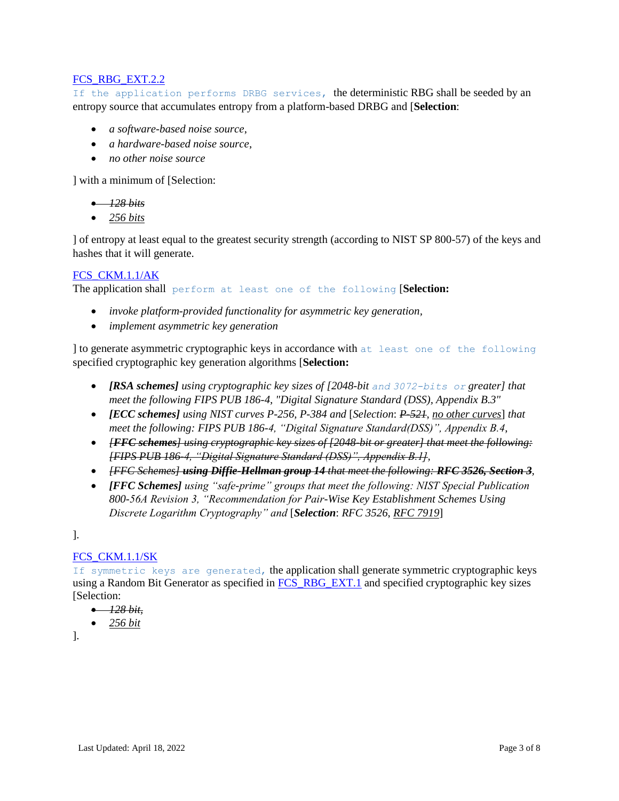#### [FCS\\_RBG\\_EXT.2.2](https://www.niap-ccevs.org/MMO/PP/462/#FCS_RBG_EXT.2.2)

If the application performs DRBG services, the deterministic RBG shall be seeded by an entropy source that accumulates entropy from a platform-based DRBG and [**Selection**:

- *a software-based noise source*,
- *a hardware-based noise source*,
- *no other noise source*

] with a minimum of [Selection:

- *128 bits*
- *256 bits*

] of entropy at least equal to the greatest security strength (according to NIST SP 800-57) of the keys and hashes that it will generate.

#### [FCS\\_CKM.1.1/AK](https://www.niap-ccevs.org/MMO/PP/462/#FCS_CKM.1.1/AK)

The application shall perform at least one of the following [**Selection:**

- *invoke platform-provided functionality for asymmetric key generation,*
- *implement asymmetric key generation*

] to generate asymmetric cryptographic keys in accordance with at least one of the following specified cryptographic key generation algorithms [**Selection:**

- *[RSA schemes] using cryptographic key sizes of [2048-bit and 3072-bits or greater] that meet the following FIPS PUB 186-4, "Digital Signature Standard (DSS), Appendix B.3"*
- *[ECC schemes] using NIST curves P-256, P-384 and* [*Selection*: *P-521*, *no other curves*] *that meet the following: FIPS PUB 186-4, "Digital Signature Standard(DSS)", Appendix B.4*,
- *[FFC schemes] using cryptographic key sizes of [2048-bit or greater] that meet the following: [FIPS PUB 186-4, "Digital Signature Standard (DSS)", Appendix B.1],*
- *[FFC Schemes] using Diffie-Hellman group 14 that meet the following: RFC 3526, Section 3,*
- *[FFC Schemes] using "safe-prime" groups that meet the following: NIST Special Publication 800-56A Revision 3, "Recommendation for Pair-Wise Key Establishment Schemes Using Discrete Logarithm Cryptography" and* [*Selection*: *RFC 3526*, *RFC 7919*]

].

#### [FCS\\_CKM.1.1/SK](https://www.niap-ccevs.org/MMO/PP/462/#FCS_CKM.1.1/SK)

If symmetric keys are generated, the application shall generate symmetric cryptographic keys using a Random Bit Generator as specified in **FCS\_RBG\_EXT.1** and specified cryptographic key sizes [Selection:

- *128 bit,*
- *256 bit*

].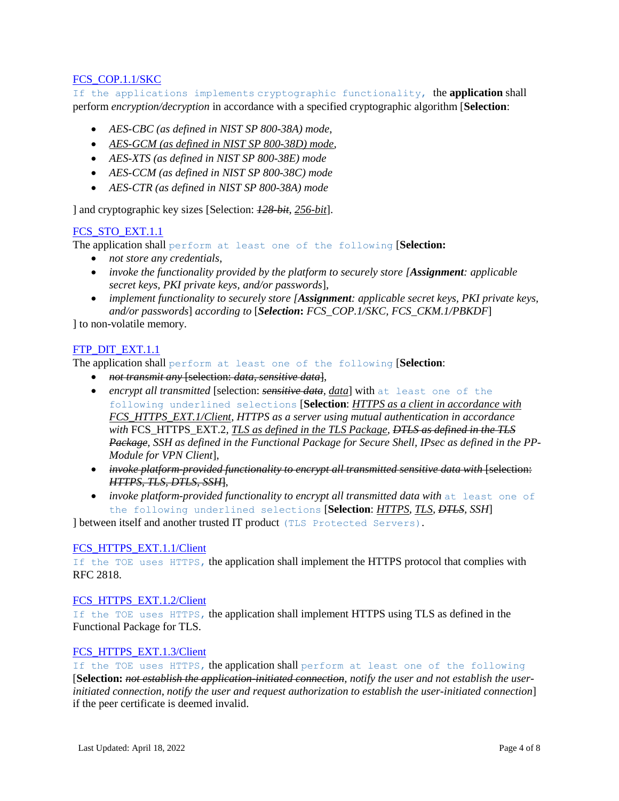#### [FCS\\_COP.1.1/SKC](https://www.niap-ccevs.org/MMO/PP/462/#FCS_COP.1.1/SKC)

If the applications implements cryptographic functionality, the **application** shall perform *encryption/decryption* in accordance with a specified cryptographic algorithm [**Selection**:

- *AES-CBC (as defined in NIST SP 800-38A) mode*,
- *AES-GCM (as defined in NIST SP 800-38D) mode,*
- *AES-XTS (as defined in NIST SP 800-38E) mode*
- *AES-CCM (as defined in NIST SP 800-38C) mode*
- *AES-CTR (as defined in NIST SP 800-38A) mode*

] and cryptographic key sizes [Selection: *128-bit*, *256-bit*].

## [FCS\\_STO\\_EXT.1.1](https://www.niap-ccevs.org/MMO/PP/462/#FCS_STO_EXT.1.1)

The application shall perform at least one of the following [**Selection:**

- *not store any credentials*,
- *invoke the functionality provided by the platform to securely store [Assignment: applicable secret keys, PKI private keys, and/or passwords*],
- *implement functionality to securely store [Assignment: applicable secret keys, PKI private keys, and/or passwords*] *according to* [*Selection***:** *FCS\_COP.1/SKC, FCS\_CKM.1/PBKDF*]

] to non-volatile memory.

#### [FTP\\_DIT\\_EXT.1.1](https://www.niap-ccevs.org/MMO/PP/462/#FTP_DIT_EXT.1.1)

The application shall perform at least one of the following [**Selection**:

- *not transmit any* [selection: *data, sensitive data*],
- *encrypt all transmitted* [selection: *sensitive data, data*] with at least one of the following underlined selections [**Selection**: *HTTPS as a client in accordance with FCS\_HTTPS\_EXT.1/Client, HTTPS as a server using mutual authentication in accordance with* [FCS\\_HTTPS\\_EXT.2](https://www.niap-ccevs.org/MMO/PP/462/#FCS_HTTPS_EXT.2)*, TLS as defined in the TLS Package, DTLS as defined in the TLS Package, SSH as defined in the Functional Package for Secure Shell, IPsec as defined in the PP-Module for VPN Client*],
- *invoke platform-provided functionality to encrypt all transmitted sensitive data with* [selection: *HTTPS, TLS, DTLS, SSH*],
- **•** *invoke platform-provided functionality to encrypt all transmitted data with* at least one of the following underlined selections [**Selection**: *HTTPS, TLS, DTLS, SSH*]

] between itself and another trusted IT product (TLS Protected Servers).

#### FCS HTTPS EXT.1.1/Client

If the TOE uses HTTPS, the application shall implement the HTTPS protocol that complies with RFC 2818.

#### FCS HTTPS EXT.1.2/Client

If the TOE uses HTTPS, the application shall implement HTTPS using TLS as defined in the Functional Package for [TLS.](https://www.niap-ccevs.org/MMO/PP/462/#abbr_TLS)

#### FCS HTTPS EXT.1.3/Client

If the TOE uses HTTPS, the application shall perform at least one of the following [**Selection:** *not establish the application-initiated connection, notify the user and not establish the userinitiated connection*, *notify the user and request authorization to establish the user-initiated connection*] if the peer certificate is deemed invalid.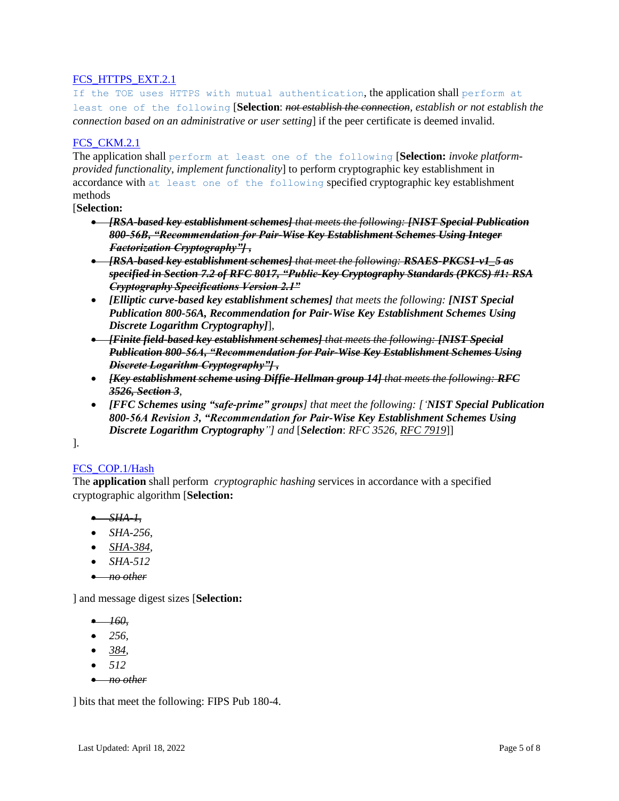# FCS HTTPS EXT.2.1

If the TOE uses HTTPS with mutual authentication, the application shall perform at least one of the following [**Selection**: *not establish the connection, establish or not establish the connection based on an administrative or user setting*] if the peer certificate is deemed invalid.

#### [FCS\\_CKM.2.1](https://www.niap-ccevs.org/MMO/PP/462/#FCS_CKM.2.1)

The application shall perform at least one of the following [**Selection:** *invoke platformprovided functionality*, *implement functionality*] to perform cryptographic key establishment in accordance with at least one of the following specified cryptographic key establishment methods

[**Selection:**

- *[RSA-based key establishment schemes] that meets the following: [NIST Special Publication 800-56B, "Recommendation for Pair-Wise Key Establishment Schemes Using Integer Factorization Cryptography"] ,*
- *[RSA-based key establishment schemes] that meet the following: RSAES-PKCS1-v1\_5 as specified in Section 7.2 of RFC 8017, "Public-Key Cryptography Standards (PKCS) #1: RSA Cryptography Specifications Version 2.1"*
- *[Elliptic curve-based key establishment schemes] that meets the following: [NIST Special Publication 800-56A, Recommendation for Pair-Wise Key Establishment Schemes Using Discrete Logarithm Cryptography]*],
- *[Finite field-based key establishment schemes] that meets the following: [NIST Special Publication 800-56A, "Recommendation for Pair-Wise Key Establishment Schemes Using Discrete Logarithm Cryptography"] ,*
- *[Key establishment scheme using Diffie-Hellman group 14] that meets the following: RFC 3526, Section 3*,
- *[FFC Schemes using "safe-prime" groups] that meet the following: ['NIST Special Publication 800-56A Revision 3, "Recommendation for Pair-Wise Key Establishment Schemes Using Discrete Logarithm Cryptography"] and* [*Selection*: *RFC 3526*, *RFC 7919*]]

].

#### [FCS\\_COP.1/Hash](https://www.niap-ccevs.org/MMO/PP/462/#FCS_COP.1.1/Hash)

The **application** shall perform *cryptographic hashing* services in accordance with a specified cryptographic algorithm [**Selection:**

- *SHA-1,*
- *SHA-256*,
- *SHA-384,*
- *SHA-512*
- *no other*

] and message digest sizes [**Selection:**

- *256,*
- *384,*
- *512*
- *no other*

] bits that meet the following: FIPS Pub 180-4.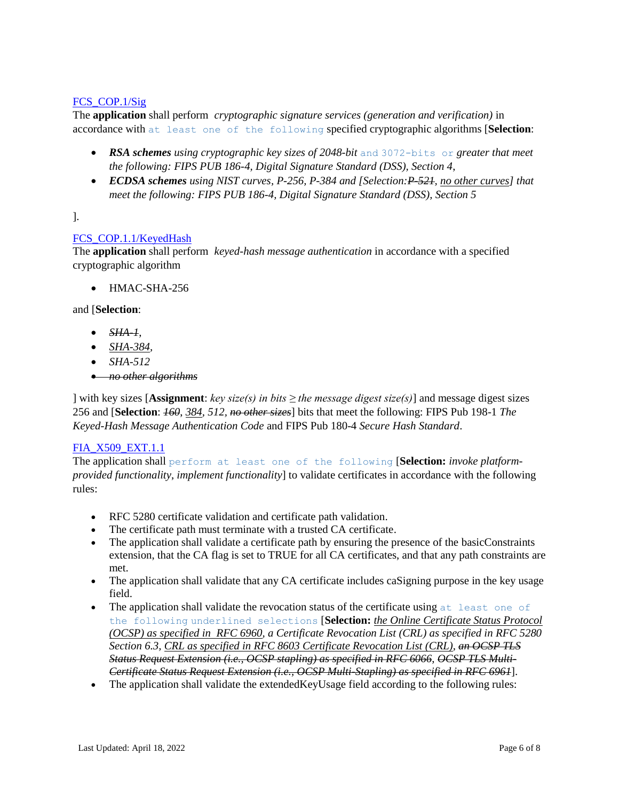#### [FCS\\_COP.1/Sig](https://www.niap-ccevs.org/MMO/PP/462/#FCS_COP.1/Sig)

The **application** shall perform *cryptographic signature services (generation and verification)* in accordance with at least one of the following specified cryptographic algorithms [**Selection**:

- *RSA schemes using cryptographic key sizes of 2048-bit* and 3072-bits or *greater that meet the following: FIPS PUB 186-4, Digital Signature Standard (DSS), Section 4*,
- *ECDSA schemes using NIST curves, P-256, P-384 and [Selection: <del>P-521</del>, <i>no other curves] that meet the following: FIPS PUB 186-4, Digital Signature Standard (DSS), Section 5*

].

# [FCS\\_COP.1.1/KeyedHash](https://www.niap-ccevs.org/MMO/PP/462/#FCS_COP.1/KeyedHash)

The **application** shall perform *keyed-hash message authentication* in accordance with a specified cryptographic algorithm

HMAC-SHA-256

and [**Selection**:

- *SHA-1*,
- *SHA-384,*
- *SHA-512*
- *no other algorithms*

] with key sizes [**Assignment**: *key size(s) in bits ≥ the message digest size(s)*] and message digest sizes 256 and [**Selection**: *160*, *384, 512, no other sizes*] bits that meet the following: FIPS Pub 198-1 *The Keyed-Hash Message Authentication Code* and FIPS Pub 180-4 *Secure Hash Standard*.

#### [FIA\\_X509\\_EXT.1.1](https://www.niap-ccevs.org/MMO/PP/462/#FIA_X509_EXT.1.1)

The application shall perform at least one of the following [**Selection:** *invoke platformprovided functionality*, *implement functionality*] to validate certificates in accordance with the following rules:

- RFC 5280 certificate validation and certificate path validation.
- The certificate path must terminate with a trusted CA certificate.
- The application shall validate a certificate path by ensuring the presence of the basicConstraints extension, that the CA flag is set to TRUE for all CA certificates, and that any path constraints are met.
- The application shall validate that any CA certificate includes caSigning purpose in the key usage field.
- The application shall validate the revocation status of the certificate using  $at$  least one of the following underlined selections [**Selection:** *the Online Certificate Status Protocol (OCSP) as specified in RFC 6960, a Certificate Revocation List (CRL) as specified in RFC 5280 Section 6.3, CRL as specified in RFC 8603 Certificate Revocation List (CRL)*, *an OCSP TLS Status Request Extension (i.e., OCSP stapling) as specified in RFC 6066*, *OCSP TLS Multi-Certificate Status Request Extension (i.e., OCSP Multi-Stapling) as specified in RFC 6961*].
- The application shall validate the extendedKeyUsage field according to the following rules: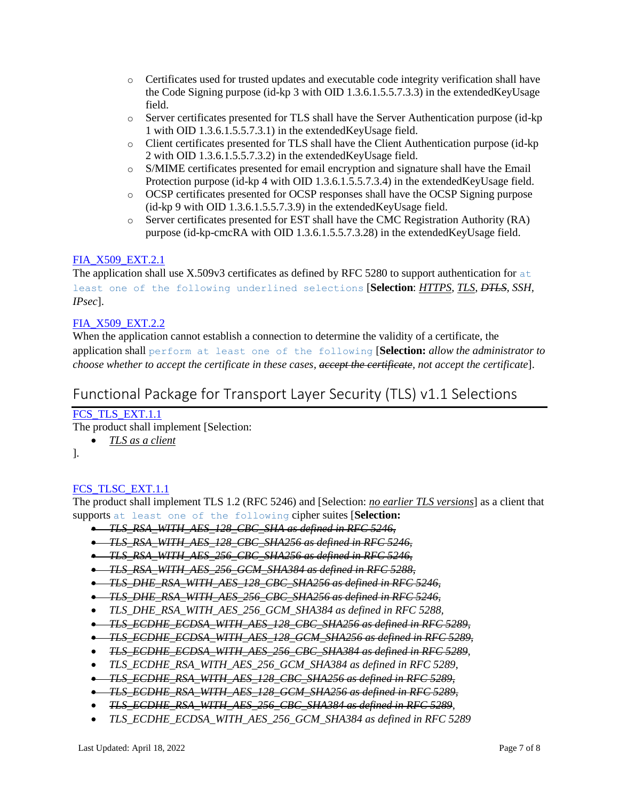- o Certificates used for trusted updates and executable code integrity verification shall have the Code Signing purpose (id-kp 3 with OID 1.3.6.1.5.5.7.3.3) in the extendedKeyUsage field.
- o Server certificates presented for TLS shall have the Server Authentication purpose (id-kp 1 with OID 1.3.6.1.5.5.7.3.1) in the extendedKeyUsage field.
- o Client certificates presented for TLS shall have the Client Authentication purpose (id-kp 2 with OID 1.3.6.1.5.5.7.3.2) in the extendedKeyUsage field.
- o S/MIME certificates presented for email encryption and signature shall have the Email Protection purpose (id-kp 4 with OID 1.3.6.1.5.5.7.3.4) in the extendedKeyUsage field.
- o OCSP certificates presented for OCSP responses shall have the OCSP Signing purpose (id-kp 9 with OID 1.3.6.1.5.5.7.3.9) in the extendedKeyUsage field.
- o Server certificates presented for EST shall have the CMC Registration Authority (RA) purpose (id-kp-cmcRA with OID 1.3.6.1.5.5.7.3.28) in the extendedKeyUsage field.

# FIA X509 EXT.2.1

The application shall use X.509v3 certificates as defined by RFC 5280 to support authentication for  $\alpha$ t least one of the following underlined selections [**Selection**: *HTTPS*, *TLS, DTLS, SSH, IPsec*].

# [FIA\\_X509\\_EXT.2.2](https://www.niap-ccevs.org/MMO/PP/462/#FIA_X509_EXT.2.2)

When the application cannot establish a connection to determine the validity of a certificate, the application shall perform at least one of the following [**Selection:** *allow the administrator to choose whether to accept the certificate in these cases, accept the certificate, not accept the certificate*].

# <span id="page-6-0"></span>Functional Package for Transport Layer Security (TLS) v1.1 Selections

# FCS TLS EXT.1.1

The product shall implement [Selection:

- *TLS as a client*
- ].

# [FCS\\_TLSC\\_EXT.1.1](https://www.niap-ccevs.org/MMO/PP/-439-/#FCS_TLSC_EXT.1.1)

The product shall implement TLS 1.2 (RFC 5246) and [Selection: *no earlier TLS versions*] as a client that supports at least one of the following cipher suites [**Selection:**

- *TLS\_RSA\_WITH\_AES\_128\_CBC\_SHA as defined in RFC 5246,*
- *TLS\_RSA\_WITH\_AES\_128\_CBC\_SHA256 as defined in RFC 5246,*
- *TLS\_RSA\_WITH\_AES\_256\_CBC\_SHA256 as defined in RFC 5246,*
- *TLS\_RSA\_WITH\_AES\_256\_GCM\_SHA384 as defined in RFC 5288,*
- *TLS\_DHE\_RSA\_WITH\_AES\_128\_CBC\_SHA256 as defined in RFC 5246,*
- *TLS\_DHE\_RSA\_WITH\_AES\_256\_CBC\_SHA256 as defined in RFC 5246,*
- *TLS\_DHE\_RSA\_WITH\_AES\_256\_GCM\_SHA384 as defined in RFC 5288,*
- *TLS\_ECDHE\_ECDSA\_WITH\_AES\_128\_CBC\_SHA256 as defined in RFC 5289,*
- *TLS\_ECDHE\_ECDSA\_WITH\_AES\_128\_GCM\_SHA256 as defined in RFC 5289,*
- *TLS\_ECDHE\_ECDSA\_WITH\_AES\_256\_CBC\_SHA384 as defined in RFC 5289*,
- *TLS\_ECDHE\_RSA\_WITH\_AES\_256\_GCM\_SHA384 as defined in RFC 5289,*
- *TLS\_ECDHE\_RSA\_WITH\_AES\_128\_CBC\_SHA256 as defined in RFC 5289,*
- *TLS\_ECDHE\_RSA\_WITH\_AES\_128\_GCM\_SHA256 as defined in RFC 5289,*
- *TLS\_ECDHE\_RSA\_WITH\_AES\_256\_CBC\_SHA384 as defined in RFC 5289*,
- *TLS\_ECDHE\_ECDSA\_WITH\_AES\_256\_GCM\_SHA384 as defined in RFC 5289*